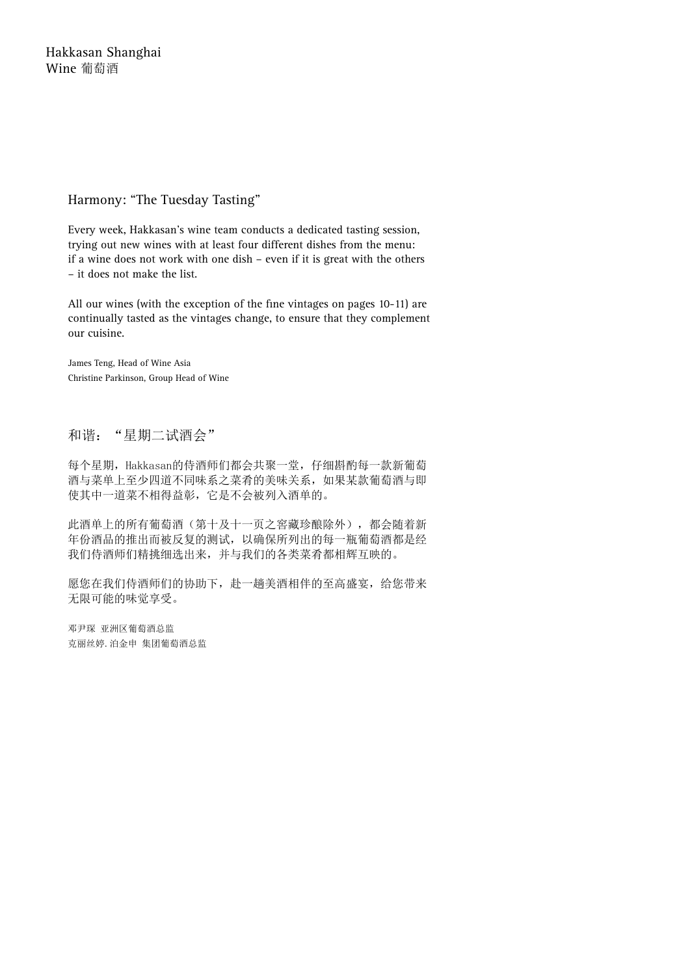#### Harmony: "The Tuesday Tasting"

Every week, Hakkasan's wine team conducts a dedicated tasting session, trying out new wines with at least four different dishes from the menu: if a wine does not work with one dish – even if it is great with the others – it does not make the list.

All our wines (with the exception of the fine vintages on pages 10-11) are continually tasted as the vintages change, to ensure that they complement our cuisine.

James Teng, Head of Wine Asia Christine Parkinson, Group Head of Wine

# 和谐: "星期二试酒会"

每个星期, Hakkasan的侍酒师们都会共聚一堂, 仔细斟酌每一款新葡萄 酒与菜单上至少四道不同味系之菜肴的美味关系,如果某款葡萄酒与即 使其中一道菜不相得益彰,它是不会被列入酒单的。

此酒单上的所有葡萄酒(第十及十一页之窖藏珍酿除外),都会随着新 年份酒品的推出而被反复的测试,以确保所列出的每一瓶葡萄酒都是经 我们侍酒师们精挑细选出来,并与我们的各类菜肴都相辉互映的。

愿您在我们侍酒师们的协助下, 赴一趟美酒相伴的至高盛宴, 给您带来 无限可能的味觉享受。

邓尹琛 亚洲区葡萄酒总监 克丽丝婷.泊金申 集团葡萄酒总监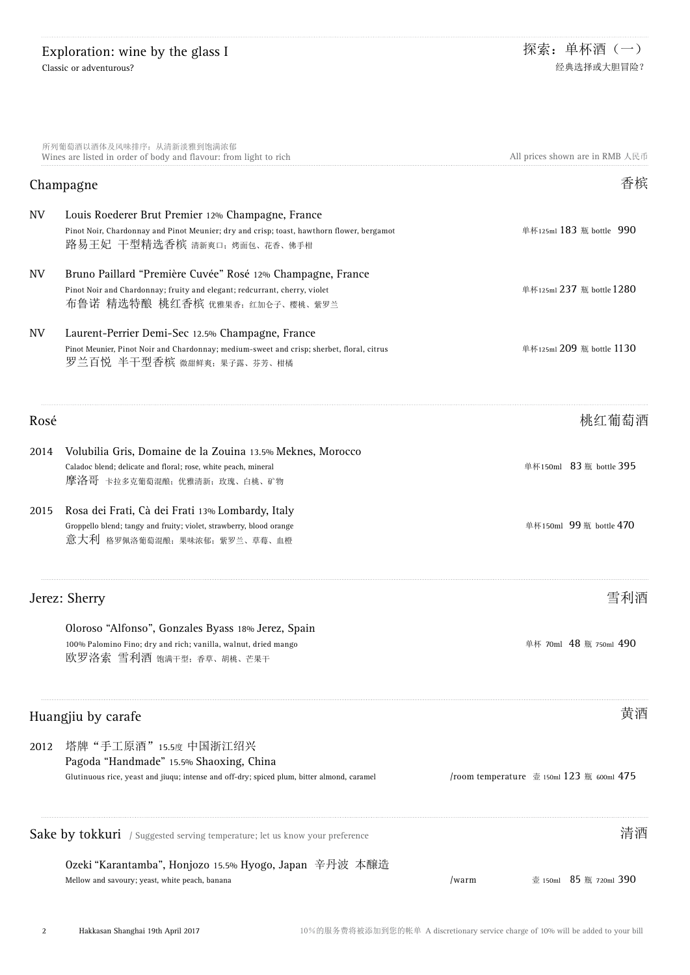|      | 所列葡萄酒以酒体及风味排序: 从清新淡雅到饱满浓郁<br>Wines are listed in order of body and flavour: from light to rich                                                                                 | All prices shown are in RMB 人民币           |
|------|--------------------------------------------------------------------------------------------------------------------------------------------------------------------------------|-------------------------------------------|
|      | Champagne                                                                                                                                                                      | 香槟                                        |
| NV   | Louis Roederer Brut Premier 12% Champagne, France<br>Pinot Noir, Chardonnay and Pinot Meunier; dry and crisp; toast, hawthorn flower, bergamot<br>路易王妃 干型精选香槟 清新爽口; 烤面包、花香、佛手柑 | 单杯125ml 183 瓶 bottle 990                  |
| NV   | Bruno Paillard "Première Cuvée" Rosé 12% Champagne, France<br>Pinot Noir and Chardonnay; fruity and elegant; redcurrant, cherry, violet<br>布鲁诺 精选特酿 桃红香槟 优雅果香,红加仑子、樱桃、紫罗兰      | 单杯125ml 237 瓶 bottle 1280                 |
| NV   | Laurent-Perrier Demi-Sec 12.5% Champagne, France<br>Pinot Meunier, Pinot Noir and Chardonnay; medium-sweet and crisp; sherbet, floral, citrus<br>罗兰百悦 半干型香槟 微甜鲜爽,果子露、芬芳、柑橘     | 单杯125ml 209 瓶 bottle 1130                 |
| Rosé |                                                                                                                                                                                | 桃红葡萄酒                                     |
| 2014 | Volubilia Gris, Domaine de la Zouina 13.5% Meknes, Morocco<br>Caladoc blend; delicate and floral; rose, white peach, mineral<br>摩洛 岢 卡拉多克葡萄混酿; 优雅清新; 玫瑰、白桃、矿物                  | 单杯150ml 83 瓶 bottle 395                   |
| 2015 | Rosa dei Frati, Cà dei Frati 13% Lombardy, Italy<br>Groppello blend; tangy and fruity; violet, strawberry, blood orange<br>意大利 格罗佩洛葡萄混酿;果味浓郁;紫罗兰、草莓、血橙                         | 单杯150ml 99瓶 bottle 470                    |
|      | Jerez: Sherry                                                                                                                                                                  | 雪利酒                                       |
|      | Oloroso "Alfonso", Gonzales Byass 18% Jerez, Spain<br>100% Palomino Fino; dry and rich; vanilla, walnut, dried mango<br>欧罗洛索 雪利酒 饱满于型;香草、胡桃、芒果干                                | 单杯 70ml 48 瓶 750ml 490                    |
|      | Huangjiu by carafe                                                                                                                                                             | 黄酒                                        |
| 2012 | 塔牌"手工原酒"15.5度中国浙江绍兴<br>Pagoda "Handmade" 15.5% Shaoxing, China<br>Glutinuous rice, yeast and jiuqu; intense and off-dry; spiced plum, bitter almond, caramel                   | /room temperature 壶 150ml 123 瓶 600ml 475 |
|      | <b>Sake by tokkuri</b> / Suggested serving temperature; let us know your preference                                                                                            | 清酒                                        |
|      | Ozeki "Karantamba", Honjozo 15.5% Hyogo, Japan 辛丹波 本醸造<br>Mellow and savoury; yeast, white peach, banana                                                                       | 壶 150ml 85 瓶 720ml 390<br>/warm           |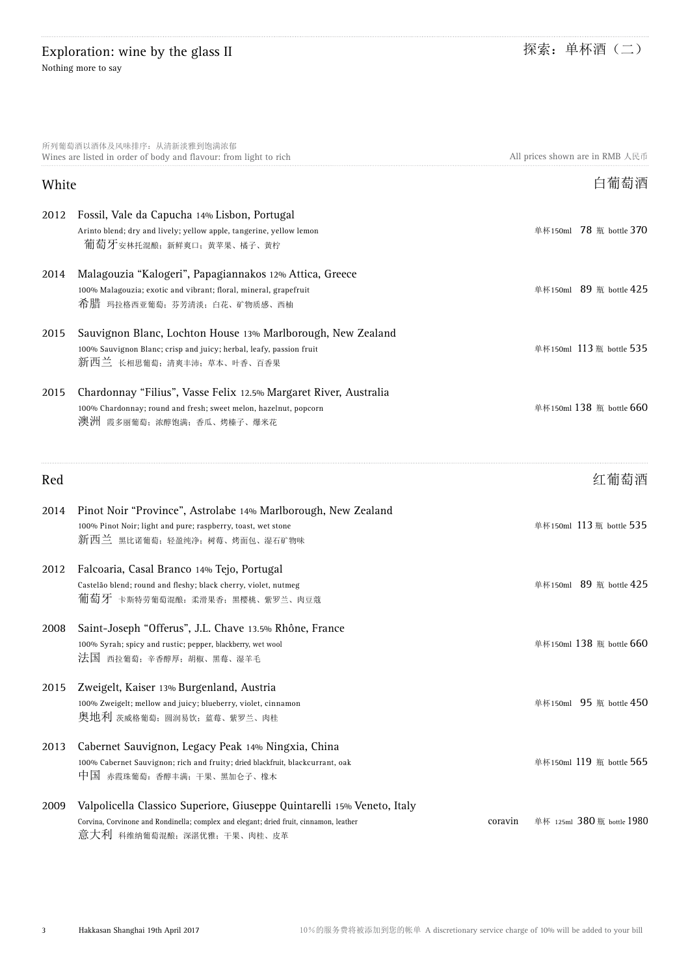| 所列葡萄酒以酒体及风味排序: 从清新淡雅到饱满浓郁<br>Wines are listed in order of body and flavour: from light to rich |                                                                                                                                                                                                  | All prices shown are in RMB 人民币 |                            |
|------------------------------------------------------------------------------------------------|--------------------------------------------------------------------------------------------------------------------------------------------------------------------------------------------------|---------------------------------|----------------------------|
|                                                                                                | White                                                                                                                                                                                            |                                 | 白葡萄酒                       |
| 2012                                                                                           | Fossil, Vale da Capucha 14% Lisbon, Portugal<br>Arinto blend; dry and lively; yellow apple, tangerine, yellow lemon<br>葡萄牙安林托混酿;新鲜爽口;黄苹果、橘子、黄柠                                                   |                                 | 单杯150ml 78 瓶 bottle 370    |
| 2014                                                                                           | Malagouzia "Kalogeri", Papagiannakos 12% Attica, Greece<br>100% Malagouzia; exotic and vibrant; floral, mineral, grapefruit<br>希腊 玛拉格西亚葡萄; 芬芳清淡; 白花、矿物质感、西柚                                      |                                 | 单杯150ml 89 瓶 bottle 425    |
| 2015                                                                                           | Sauvignon Blanc, Lochton House 13% Marlborough, New Zealand<br>100% Sauvignon Blanc; crisp and juicy; herbal, leafy, passion fruit<br>新西兰 长相思葡萄;清爽丰沛;草本、叶香、百香果                                   |                                 | 单杯150ml 113 瓶 bottle 535   |
| 2015                                                                                           | Chardonnay "Filius", Vasse Felix 12.5% Margaret River, Australia<br>100% Chardonnay; round and fresh; sweet melon, hazelnut, popcorn<br>澳洲 霞多丽葡萄; 浓醇饱满; 香瓜、烤榛子、爆米花                               |                                 | 单杯150ml 138 瓶 bottle 660   |
| Red                                                                                            |                                                                                                                                                                                                  |                                 | 红葡萄酒                       |
| 2014                                                                                           | Pinot Noir "Province", Astrolabe 14% Marlborough, New Zealand<br>100% Pinot Noir; light and pure; raspberry, toast, wet stone<br>新西兰 黑比诺葡萄;轻盈纯净;树莓、烤面包、湿石矿物味                                     |                                 | 单杯150ml 113 瓶 bottle 535   |
| 2012                                                                                           | Falcoaria, Casal Branco 14% Tejo, Portugal<br>Castelão blend; round and fleshy; black cherry, violet, nutmeg<br>葡萄牙 卡斯特劳葡萄混酿:柔滑果香;黑樱桃、紫罗兰、肉豆蔻                                                    |                                 | 单杯150ml 89 瓶 bottle 425    |
| 2008                                                                                           | Saint-Joseph "Offerus", J.L. Chave 13.5% Rhône, France<br>100% Syrah; spicy and rustic; pepper, blackberry, wet wool<br>法国 西拉葡萄; 辛香醇厚; 胡椒、黑莓、湿羊毛                                                 |                                 | 单杯150ml 138 瓶 bottle 660   |
| 2015                                                                                           | Zweigelt, Kaiser 13% Burgenland, Austria<br>100% Zweigelt; mellow and juicy; blueberry, violet, cinnamon<br>奥地利 茨威格葡萄; 圆润易饮; 蓝莓、紫罗兰、肉桂                                                           |                                 | 单杯150ml 95 瓶 bottle 450    |
| 2013                                                                                           | Cabernet Sauvignon, Legacy Peak 14% Ningxia, China<br>100% Cabernet Sauvignon; rich and fruity; dried blackfruit, blackcurrant, oak<br>中国 赤霞珠葡萄: 香醇丰满; 干果、黑加仑子、橡木                                |                                 | 单杯150ml 119 瓶 bottle 565   |
| 2009                                                                                           | Valpolicella Classico Superiore, Giuseppe Quintarelli 15% Veneto, Italy<br>Corvina, Corvinone and Rondinella; complex and elegant; dried fruit, cinnamon, leather<br>意大利 科维纳葡萄混酿; 深湛优雅; 干果、肉桂、皮革 | coravin                         | 单杯 125ml 380 瓶 bottle 1980 |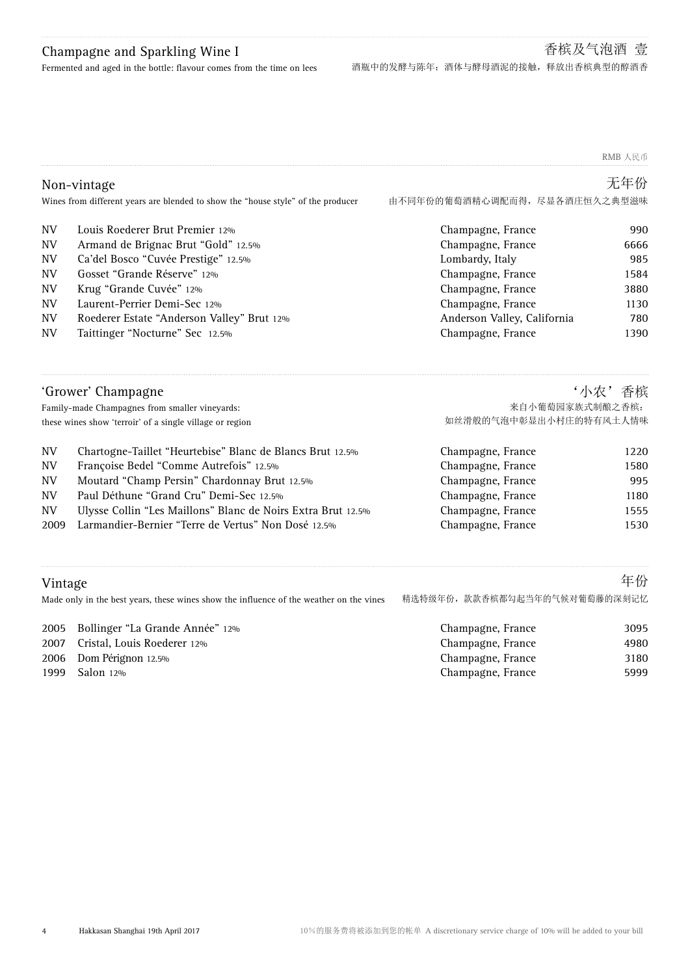## Champagne and Sparkling Wine I

Non-vintage

Fermented and aged in the bottle: flavour comes from the time on lees

#### 香槟及气泡酒 壹 酒瓶中的发酵与陈年:酒体与酵母酒泥的接触,释放出香槟典型的醇酒香

由不同年份的葡萄酒精心调配而得,尽显各酒庄恒久之典型滋味

#### RMB 人民币

无年份

Wines from different years are blended to show the "house style" of the producer

| NV | Louis Roederer Brut Premier 12%            | Champagne, France           | 990  |
|----|--------------------------------------------|-----------------------------|------|
| NV | Armand de Brignac Brut "Gold" 12.5%        | Champagne, France           | 6666 |
| NV | Ca'del Bosco "Cuvée Prestige" 12.5%        | Lombardy, Italy             | 985  |
| NV | Gosset "Grande Réserve" 12%                | Champagne, France           | 1584 |
| NV | Krug "Grande Cuvée" 12%                    | Champagne, France           | 3880 |
| NV | Laurent-Perrier Demi-Sec 12%               | Champagne, France           | 1130 |
| NV | Roederer Estate "Anderson Valley" Brut 12% | Anderson Valley, California | 780  |
| NV | Taittinger "Nocturne" Sec 12.5%            | Champagne, France           | 1390 |
|    |                                            |                             |      |

|                                                | 'Grower' Champagne                                           |                        | '小农'香槟 |
|------------------------------------------------|--------------------------------------------------------------|------------------------|--------|
| Family-made Champagnes from smaller vineyards: |                                                              | 来自小葡萄园家族式制酿之香槟:        |        |
|                                                | these wines show 'terroir' of a single village or region     | 如丝滑般的气泡中彰显出小村庄的特有风土人情味 |        |
| <b>NV</b>                                      | Chartogne-Taillet "Heurtebise" Blanc de Blancs Brut 12.5%    | Champagne, France      | 1220   |
| NV                                             | Françoise Bedel "Comme Autrefois" 12.5%                      | Champagne, France      | 1580   |
| NV                                             | Moutard "Champ Persin" Chardonnay Brut 12.5%                 | Champagne, France      | 995    |
| <b>NV</b>                                      | Paul Déthune "Grand Cru" Demi-Sec 12.5%                      | Champagne, France      | 1180   |
| NV                                             | Ulysse Collin "Les Maillons" Blanc de Noirs Extra Brut 12.5% | Champagne, France      | 1555   |

2009 Larmandier-Bernier "Terre de Vertus" Non Dosé 12.5% Champagne, France 1530

年份

Vintage

Made only in the best years, these wines show the influence of the weather on the vines 精选特级年份,款款香槟都勾起当年的气候对葡萄藤的深刻记忆

|      | 2005 Bollinger "La Grande Année" 12% | Champagne, France | 3095 |
|------|--------------------------------------|-------------------|------|
|      | 2007 Cristal, Louis Roederer 12%     | Champagne, France | 4980 |
|      | 2006 Dom Pérignon 12.5%              | Champagne, France | 3180 |
| 1999 | Salon 12%                            | Champagne, France | 5999 |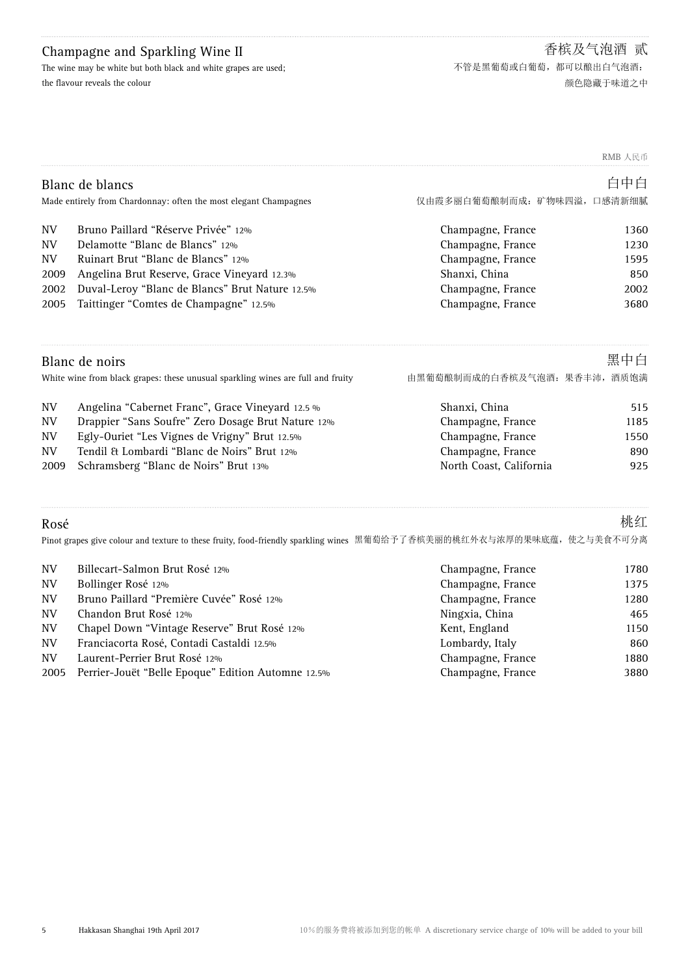### Champagne and Sparkling Wine II

The wine may be white but both black and white grapes are used; the flavour reveals the colour

|                       | 香槟及气泡酒 贰  |  |
|-----------------------|-----------|--|
| 不管是黑葡萄或白葡萄,都可以酿出白气泡酒: |           |  |
|                       | 颜色隐藏于味道之中 |  |

RMB 人民币

|      | Blanc de blancs<br>Made entirely from Chardonnay: often the most elegant Champagnes | 仅由霞多丽白葡萄酿制而成: 矿物味四溢, 口感清新细腻 | 白中白  |
|------|-------------------------------------------------------------------------------------|-----------------------------|------|
| NV   | Bruno Paillard "Réserve Privée" 12%                                                 | Champagne, France           | 1360 |
| NV   | Delamotte "Blanc de Blancs" 12%                                                     | Champagne, France           | 1230 |
| NV   | Ruinart Brut "Blanc de Blancs" 12%                                                  | Champagne, France           | 1595 |
| 2009 | Angelina Brut Reserve, Grace Vineyard 12.3%                                         | Shanxi, China               | 850  |
| 2002 | Duval-Leroy "Blanc de Blancs" Brut Nature 12.5%                                     | Champagne, France           | 2002 |
| 2005 | Taittinger "Comtes de Champagne" 12.5%                                              | Champagne, France           | 3680 |
|      |                                                                                     |                             |      |

|      | Blanc de noirs<br>White wine from black grapes: these unusual sparkling wines are full and fruity | 由黑葡萄酿制而成的白香槟及气泡酒: 果香丰沛, 酒质饱满 | 黑中白  |
|------|---------------------------------------------------------------------------------------------------|------------------------------|------|
| NV   | Angelina "Cabernet Franc", Grace Vineyard 12.5 %                                                  | Shanxi, China                | 515  |
| NV   | Drappier "Sans Soufre" Zero Dosage Brut Nature 12%                                                | Champagne, France            | 1185 |
| NV   | Egly-Ouriet "Les Vignes de Vrigny" Brut 12.5%                                                     | Champagne, France            | 1550 |
| NV   | Tendil & Lombardi "Blanc de Noirs" Brut 12%                                                       | Champagne, France            | 890  |
| 2009 | Schramsberg "Blanc de Noirs" Brut 13%                                                             | North Coast, California      | 925  |

### Rosé Pinot grapes give colour and texture to these fruity, food-friendly sparkling wines 黑葡萄给予了香槟美丽的桃红外衣与浓厚的果味底蕴,使之与美食不可分离NV Billecart-Salmon Brut Rosé 12% Champagne, France 1780 NV Bollinger Rosé 12% Champagne, France 1375 NV Bruno Paillard "Première Cuvée" Rosé 12% Champagne, France 1280 NV Chandon Brut Rosé 12% (19%) (19%) (19%) (19%) (19%) (19%) (19%) (19%) (19%) (19%) (19%) (19%) (19%) (19%) (1 NV Chapel Down "Vintage Reserve" Brut Rosé 12% (England Kent, England 1150 NV Franciacorta Rosé, Contadi Castaldi 12.5% CONSECTED Extendios Combardy, Italy NV Laurent-Perrier Brut Rosé 12% Champagne, France 1880 2005 Perrier-Jouët "Belle Epoque" Edition Automne 12.5% Champagne, France 3880 桃红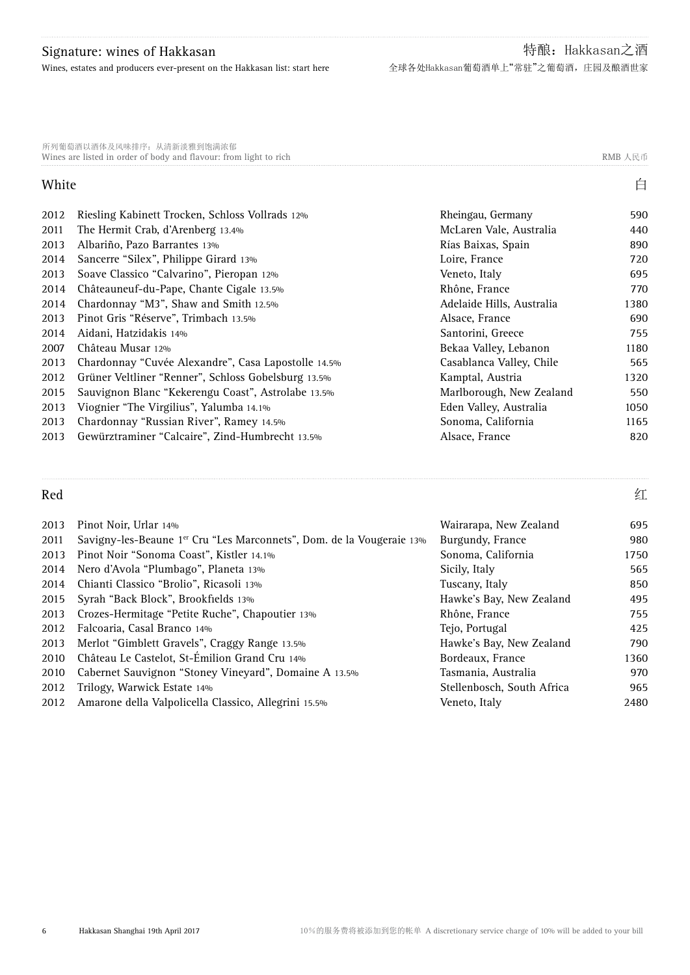Wines, estates and producers ever-present on the Hakkasan list: start here

Wines are listed in order of body and flavour: from light to rich  $\mathbb{R}$  RMB 人民币 所列葡萄酒以酒体及风味排序:从清新淡雅到饱满浓郁

## White **contract of the contract of the contract of the contract of the contract of the contract of the contract**

| 2012 | Riesling Kabinett Trocken, Schloss Vollrads 12%     | Rheingau, Germany         | 590  |
|------|-----------------------------------------------------|---------------------------|------|
| 2011 | The Hermit Crab, d'Arenberg 13.4%                   | McLaren Vale, Australia   | 440  |
| 2013 | Albariño, Pazo Barrantes 13%                        | Rías Baixas, Spain        | 890  |
| 2014 | Sancerre "Silex", Philippe Girard 13%               | Loire, France             | 720  |
| 2013 | Soave Classico "Calvarino", Pieropan 12%            | Veneto, Italy             | 695  |
| 2014 | Châteauneuf-du-Pape, Chante Cigale 13.5%            | Rhône, France             | 770  |
| 2014 | Chardonnay "M3", Shaw and Smith 12.5%               | Adelaide Hills, Australia | 1380 |
| 2013 | Pinot Gris "Réserve", Trimbach 13.5%                | Alsace, France            | 690  |
| 2014 | Aidani, Hatzidakis 14%                              | Santorini, Greece         | 755  |
| 2007 | Château Musar 12%                                   | Bekaa Valley, Lebanon     | 1180 |
| 2013 | Chardonnay "Cuvée Alexandre", Casa Lapostolle 14.5% | Casablanca Valley, Chile  | 565  |
| 2012 | Grüner Veltliner "Renner", Schloss Gobelsburg 13.5% | Kamptal, Austria          | 1320 |
| 2015 | Sauvignon Blanc "Kekerengu Coast", Astrolabe 13.5%  | Marlborough, New Zealand  | 550  |
| 2013 | Viognier "The Virgilius", Yalumba 14.1%             | Eden Valley, Australia    | 1050 |
| 2013 | Chardonnay "Russian River", Ramey 14.5%             | Sonoma, California        | 1165 |
| 2013 | Gewürztraminer "Calcaire", Zind-Humbrecht 13.5%     | Alsace, France            | 820  |

#### Red いっしょう しょうかん しょうかん しゅうしゅん こうしゅう しょうしゅう しょうしゅう しょうしゅう はんしょう にんしゅう はんしょう はんしょう はんしょう はんしゅう はんしょう はんしょう はんしょう

2013 Pinot Noir, Urlar 14% Wairarapa, New Zealand 695 2011 Savigny-les-Beaune 1<sup>er</sup> Cru "Les Marconnets", Dom. de la Vougeraie 13% Burgundy, France 980 2013 Pinot Noir "Sonoma Coast", Kistler 14.1% Sonoma, California 1750 2014 Nero d'Avola "Plumbago", Planeta 13% Sulla Santa Care de Sicily, Italy Soula Sicily, Italy Soula Soula S 2014 Chianti Classico "Brolio", Ricasoli 13% Tuscany, Italy Tuscany, Italy 850 2015 Syrah "Back Block", Brookfields 13% and the state of the Hawke's Bay, New Zealand 495 2013 Crozes-Hermitage "Petite Ruche", Chapoutier 13% Rhône, France 755 2012 Falcoaria, Casal Branco 14% (425) 76 and 70 and 70 and 70 and 70 and 70 and 70 and 70 and 70 and 70 and 70 and 70 and 70 and 70 and 70 and 70 and 70 and 70 and 70 and 70 and 70 and 70 and 70 and 70 and 70 and 70 and 7 2013 Merlot "Gimblett Gravels", Craggy Range 13.5% The Mawke's Bay, New Zealand 790 2010 Château Le Castelot, St-Émilion Grand Cru 14% **Bordeaux, France** 1360 2010 Cabernet Sauvignon "Stoney Vineyard", Domaine A 13.5% Tasmania, Australia 970 2012 Trilogy, Warwick Estate 14% Stellenbosch, South Africa 365 2012 Amarone della Valpolicella Classico, Allegrini 15.5% Veneto, Italy 2480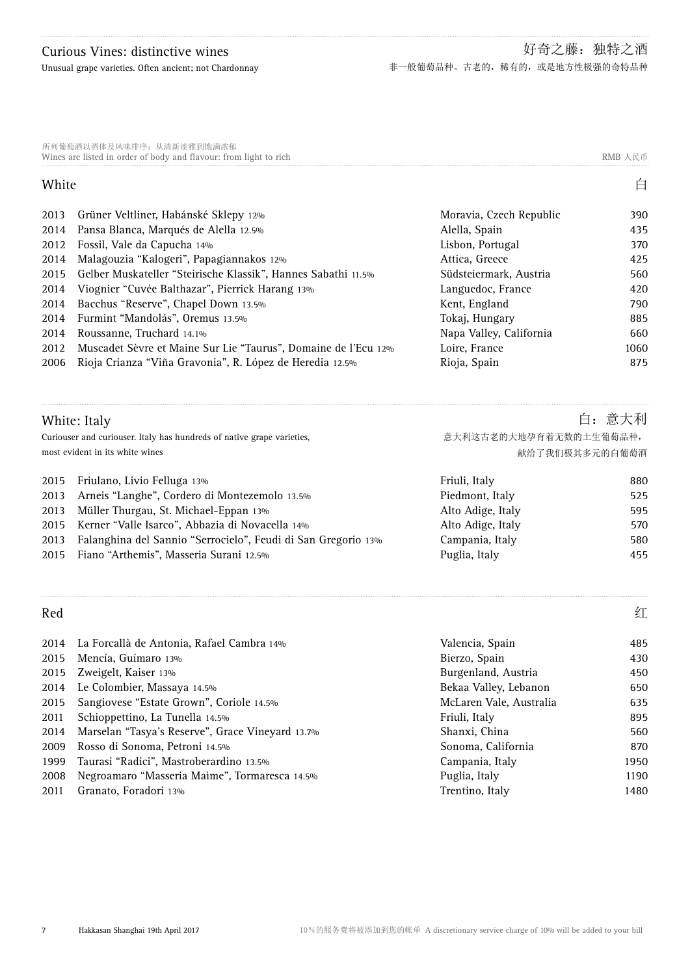Unusual grape varieties. Often ancient; not Chardonnay

Wines are listed in order of body and flavour: from light to rich RMB Q RMB Q RMB 人民币 所列葡萄酒以酒体及风味排序:从清新淡雅到饱满浓郁

# White **contract of the contract of the contract of the contract of the contract of the contract of the contract**

| 2013 | Grüner Veltliner, Habánské Sklepy 12%                          | Moravia, Czech Republic | 390  |
|------|----------------------------------------------------------------|-------------------------|------|
| 2014 | Pansa Blanca, Marqués de Alella 12.5%                          | Alella, Spain           | 435  |
| 2012 | Fossil, Vale da Capucha 14%                                    | Lisbon, Portugal        | 370  |
| 2014 | Malagouzia "Kalogeri", Papagiannakos 12%                       | Attica, Greece          | 425  |
| 2015 | Gelber Muskateller "Steirische Klassik", Hannes Sabathi 11.5%  | Südsteiermark, Austria  | 560  |
| 2014 | Viognier "Cuvée Balthazar", Pierrick Harang 13%                | Languedoc, France       | 420  |
| 2014 | Bacchus "Reserve", Chapel Down 13.5%                           | Kent, England           | 790. |
| 2014 | Furmint "Mandolás", Oremus 13.5%                               | Tokaj, Hungary          | 885  |
| 2014 | Roussanne, Truchard 14.1%                                      | Napa Valley, California | 660  |
| 2012 | Muscadet Sèvre et Maine Sur Lie "Taurus", Domaine de l'Ecu 12% | Loire, France           | 1060 |
| 2006 | Rioja Crianza "Viña Gravonia", R. López de Heredia 12.5%       | Rioja, Spain            | 875  |
|      |                                                                |                         |      |

## White: Italy

## 白:意大利

| Curiouser and curiouser. Italy has hundreds of native grape varieties, | 意大利这古老的大地孕育着无数的土生葡萄品种, |     |
|------------------------------------------------------------------------|------------------------|-----|
| most evident in its white wines                                        | 献给了我们极其多元的白葡萄酒         |     |
| 2015 Friulano, Livio Felluga 13%                                       | Friuli, Italy          | 880 |
| Arneis "Langhe", Cordero di Montezemolo 13.5%<br>2013                  | Piedmont, Italy        | 525 |
|                                                                        |                        |     |

| 2013 Müller Thurgau, St. Michael-Eppan 13%                         | Alto Adige, Italy | 595 |
|--------------------------------------------------------------------|-------------------|-----|
| 2015 Kerner "Valle Isarco", Abbazia di Novacella 14%               | Alto Adige, Italy | 570 |
| 2013 Falanghina del Sannio "Serrocielo", Feudi di San Gregorio 13% | Campania, Italy   | 580 |
| 2015 Fiano "Arthemis", Masseria Surani 12.5%                       | Puglia, Italy     | 455 |

# Red いっしゃ しょうかん こうしょう しょうしゅん こうしゅう こうしょう にほんしゅう しょうしゅう しょうしょう にほんしゅう はんしゅう はんしゅう はんしゅう はんしゅう はんしゅう はんしゅう はんしゅう

|      | 2014 La Forcallà de Antonia, Rafael Cambra 14%   | Valencia, Spain         | 485  |
|------|--------------------------------------------------|-------------------------|------|
| 2015 | Mencía, Guímaro 13%                              | Bierzo, Spain           | 430  |
|      | 2015 Zweigelt, Kaiser 13%                        | Burgenland, Austria     | 450  |
|      | 2014 Le Colombier, Massaya 14.5%                 | Bekaa Valley, Lebanon   | 650  |
|      | 2015 Sangiovese "Estate Grown", Coriole 14.5%    | McLaren Vale, Australia | 635  |
| 2011 | Schioppettino, La Tunella 14.5%                  | Friuli, Italy           | 895  |
| 2014 | Marselan "Tasya's Reserve", Grace Vineyard 13.7% | Shanxi, China           | 560  |
| 2009 | Rosso di Sonoma, Petroni 14.5%                   | Sonoma, California      | 870  |
| 1999 | Taurasi "Radici", Mastroberardino 13.5%          | Campania, Italy         | 1950 |
| 2008 | Negroamaro "Masseria Maime", Tormaresca 14.5%    | Puglia, Italy           | 1190 |
| 2011 | Granato, Foradori 13%                            | Trentino, Italy         | 1480 |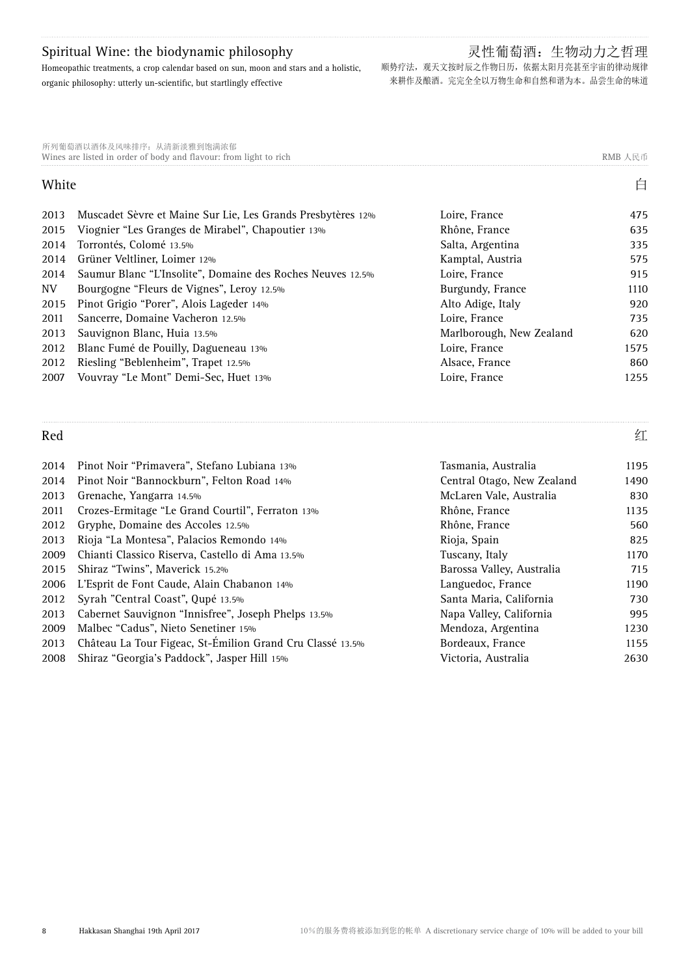#### Spiritual Wine: the biodynamic philosophy

Homeopathic treatments, a crop calendar based on sun, moon and stars and a holistic, organic philosophy: utterly un-scientific, but startlingly effective

# 灵性葡萄酒:生物动力之哲理

顺势疗法,观天文按时辰之作物日历,依据太阳月亮甚至宇宙的律动规律 来耕作及酿酒。完完全全以万物生命和自然和谐为本。品尝生命的味道

| 所列葡萄酒以酒体及风味排序: 从清新淡雅到饱满浓郁<br>Wines are listed in order of body and flavour: from light to rich | RMB 人民币 |
|------------------------------------------------------------------------------------------------|---------|
|                                                                                                |         |
| White                                                                                          |         |

| 2013 | Muscadet Sèvre et Maine Sur Lie, Les Grands Presbytères 12% | Loire, France            | 475  |
|------|-------------------------------------------------------------|--------------------------|------|
| 2015 | Viognier "Les Granges de Mirabel", Chapoutier 13%           | Rhône, France            | 635  |
| 2014 | Torrontés, Colomé 13.5%                                     | Salta, Argentina         | 335  |
| 2014 | Grüner Veltliner, Loimer 12%                                | Kamptal, Austria         | 575  |
| 2014 | Saumur Blanc "L'Insolite", Domaine des Roches Neuves 12.5%  | Loire, France            | 915  |
| NV.  | Bourgogne "Fleurs de Vignes", Leroy 12.5%                   | Burgundy, France         | 1110 |
| 2015 | Pinot Grigio "Porer", Alois Lageder 14%                     | Alto Adige, Italy        | 920  |
| 2011 | Sancerre, Domaine Vacheron 12.5%                            | Loire, France            | 735  |
| 2013 | Sauvignon Blanc, Huia 13.5%                                 | Marlborough, New Zealand | 620  |
| 2012 | Blanc Fumé de Pouilly, Dagueneau 13%                        | Loire, France            | 1575 |
| 2012 | Riesling "Beblenheim", Trapet 12.5%                         | Alsace, France           | 860  |
| 2007 | Vouvray "Le Mont" Demi-Sec, Huet 13%                        | Loire, France            | 1255 |

|                                                           |                            | 红    |
|-----------------------------------------------------------|----------------------------|------|
| Pinot Noir "Primavera", Stefano Lubiana 13%               | Tasmania, Australia        | 1195 |
| Pinot Noir "Bannockburn", Felton Road 14%                 | Central Otago, New Zealand | 1490 |
| Grenache, Yangarra 14.5%                                  | McLaren Vale, Australia    | 830  |
| Crozes-Ermitage "Le Grand Courtil", Ferraton 13%          | Rhône, France              | 1135 |
| Gryphe, Domaine des Accoles 12.5%                         | Rhône, France              | 560  |
| Rioja "La Montesa", Palacios Remondo 14%                  | Rioja, Spain               | 825  |
| Chianti Classico Riserva, Castello di Ama 13.5%           | Tuscany, Italy             | 1170 |
| Shiraz "Twins", Maverick 15.2%                            | Barossa Valley, Australia  | 715  |
| L'Esprit de Font Caude, Alain Chabanon 14%                | Languedoc, France          | 1190 |
| Syrah "Central Coast", Qupé 13.5%                         | Santa Maria, California    | 730  |
| Cabernet Sauvignon "Innisfree", Joseph Phelps 13.5%       | Napa Valley, California    | 995  |
| Malbec "Cadus", Nieto Senetiner 15%                       | Mendoza, Argentina         | 1230 |
| Château La Tour Figeac, St-Émilion Grand Cru Classé 13.5% | Bordeaux, France           | 1155 |
| Shiraz "Georgia's Paddock", Jasper Hill 15%               | Victoria, Australia        | 2630 |
|                                                           |                            |      |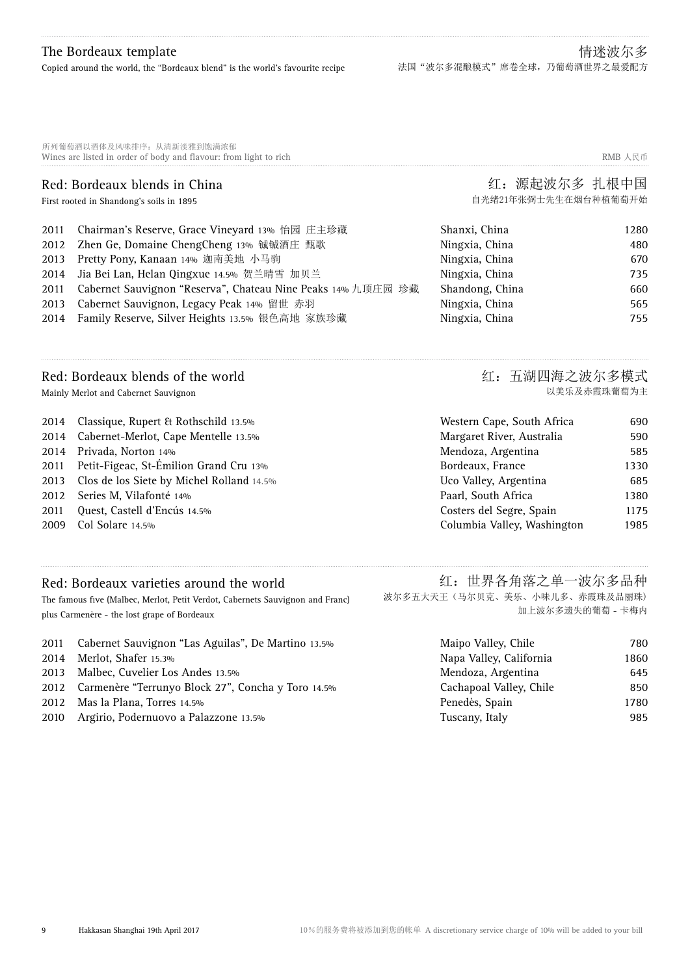Copied around the world, the "Bordeaux blend" is the world's favourite recipe

Wines are listed in order of body and flavour: from light to rich RMB 人民币 RMB 人民币 所列葡萄酒以酒体及风味排序:从清新淡雅到饱满浓郁

Red: Bordeaux blends in China First rooted in Shandong's soils in 1895

红:源起波尔多 扎根中国 自光绪21年张弼士先生在烟台种植葡萄开始

红:五湖四海之波尔多模式

以美乐及赤霞珠葡萄为主

| 2011 Chairman's Reserve, Grace Vineyard 13% 怡园 庄主珍藏               | Shanxi, China   | 1280 |
|-------------------------------------------------------------------|-----------------|------|
| 2012 Zhen Ge, Domaine ChengCheng 13% 铖铖酒庄 甄歌                      | Ningxia, China  | 480  |
| 2013 Pretty Pony, Kanaan 14% 迦南美地 小马驹                             | Ningxia, China  | 670  |
| 2014 Jia Bei Lan, Helan Qingxue 14.5% 贺兰晴雪 加贝兰                    | Ningxia, China  | 735  |
| 2011 Cabernet Sauvignon "Reserva", Chateau Nine Peaks 14% 九顶庄园 珍藏 | Shandong, China | 660  |
| 2013 Cabernet Sauvignon, Legacy Peak 14% 留世 赤羽                    | Ningxia, China  | 565  |
| 2014 Family Reserve, Silver Heights 13.5% 银色高地 家族珍藏               | Ningxia, China  | 755  |
|                                                                   |                 |      |

#### Red: Bordeaux blends of the world

Mainly Merlot and Cabernet Sauvignon

|      | 2014 Classique, Rupert & Rothschild 13.5%      | Western Cape, South Africa  | 690  |
|------|------------------------------------------------|-----------------------------|------|
|      | 2014 Cabernet-Merlot, Cape Mentelle 13.5%      | Margaret River, Australia   | 590  |
|      | 2014 Privada, Norton 14%                       | Mendoza, Argentina          | 585  |
|      | 2011 Petit-Figeac, St-Émilion Grand Cru 13%    | Bordeaux, France            | 1330 |
|      | 2013 Clos de los Siete by Michel Rolland 14.5% | Uco Valley, Argentina       | 685  |
|      | 2012 Series M, Vilafonté 14%                   | Paarl, South Africa         | 1380 |
| 2011 | Quest, Castell d'Encús 14.5%                   | Costers del Segre, Spain    | 1175 |
| 2009 | Col Solare 14.5%                               | Columbia Valley, Washington | 1985 |

#### Red: Bordeaux varieties around the world

The famous five (Malbec, Merlot, Petit Verdot, Cabernets Sauvignon and Franc) plus Carmenère - the lost grape of Bordeaux

| 2011 | Cabernet Sauvignon "Las Aguilas", De Martino 13.5% |  |  |  |
|------|----------------------------------------------------|--|--|--|
|      |                                                    |  |  |  |

- 2014 Merlot, Shafer 15.3%
- 2013 Malbec, Cuvelier Los Andes 13.5%
- 2012 Carmenère "Terrunyo Block 27", Concha y Toro 14.5%
- 2012 Mas la Plana, Torres 14.5%
- 2010 Argirio, Podernuovo a Palazzone 13.5%

红:世界各角落之单一波尔多品种 波尔多五大天王(马尔贝克、美乐、小味儿多、赤霞珠及品丽珠) 加上波尔多遗失的葡萄 - 卡梅内

| 2011 Cabernet Sauvignon "Las Aguilas", De Martino 13.5% | Maipo Valley, Chile     | 780  |
|---------------------------------------------------------|-------------------------|------|
| 2014 Merlot, Shafer 15.3%                               | Napa Valley, California | 1860 |
| 2013 Malbec, Cuvelier Los Andes 13.5%                   | Mendoza, Argentina      | 645  |
| 2012 Carmenère "Terrunyo Block 27", Concha y Toro 14.5% | Cachapoal Valley, Chile | 850  |
| 2012 Mas la Plana, Torres 14.5%                         | Penedès, Spain          | 1780 |
| 2010 Argirio, Podernuovo a Palazzone 13.5%              | Tuscany, Italy          | 985  |
|                                                         |                         |      |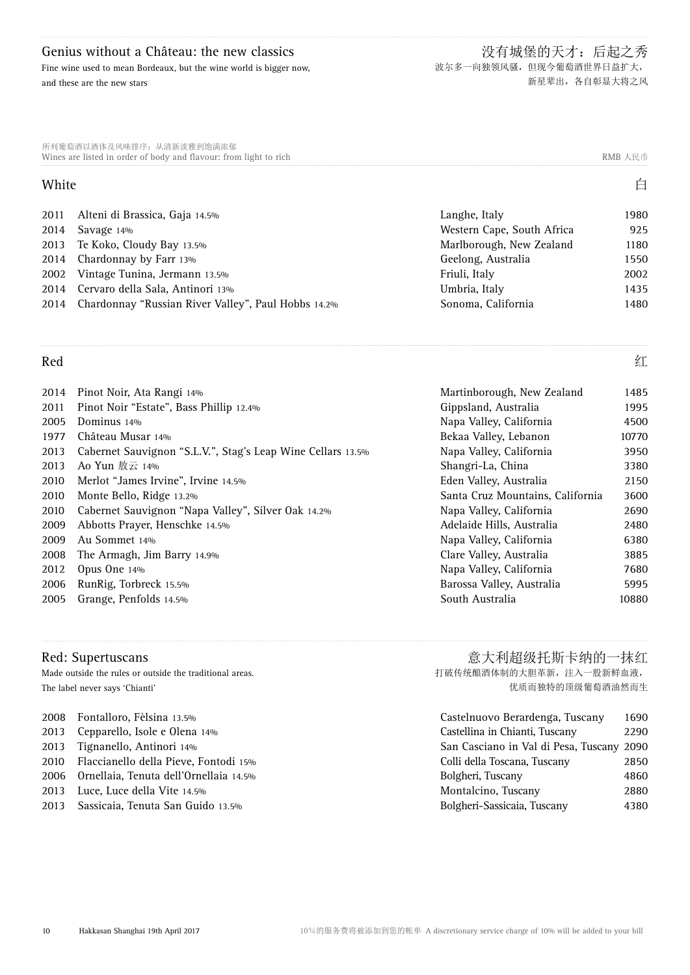Fine wine used to mean Bordeaux, but the wine world is bigger now, and these are the new stars

Wines are listed in order of body and flavour: from light to rich RMB Q RMB Q RMB 人民币 所列葡萄酒以酒体及风味排序:从清新淡雅到饱满浓郁

#### White **contract of the contract of the contract of the contract of the contract of the contract of the contract**

| 2011 Alteni di Brassica, Gaja 14.5%                      | Langhe, Italy              | 1980 |
|----------------------------------------------------------|----------------------------|------|
| 2014 Savage 14%                                          | Western Cape, South Africa | 925  |
| 2013 Te Koko, Cloudy Bay 13.5%                           | Marlborough, New Zealand   | 1180 |
| 2014 Chardonnay by Farr 13%                              | Geelong, Australia         | 1550 |
| 2002 Vintage Tunina, Jermann 13.5%                       | Friuli, Italy              | 2002 |
| 2014 Cervaro della Sala, Antinori 13%                    | Umbria, Italy              | 1435 |
| 2014 Chardonnay "Russian River Valley", Paul Hobbs 14.2% | Sonoma, California         | 1480 |
|                                                          |                            |      |

### Red いっしょう しょうかん こうしょう しょうしゅん こうしょう にんしゅう にんしゅう しょうしょう にんしゅう にんしゅう はんしゅう はんしゅう はんしょう はんしゅう はんしゅう はんしょう

| 2014 | Pinot Noir, Ata Rangi 14%                                   | Martinborough, New Zealand       | 1485  |
|------|-------------------------------------------------------------|----------------------------------|-------|
| 2011 | Pinot Noir "Estate", Bass Phillip 12.4%                     | Gippsland, Australia             | 1995  |
| 2005 | Dominus 14%                                                 | Napa Valley, California          | 4500  |
| 1977 | Château Musar 14%                                           | Bekaa Valley, Lebanon            | 10770 |
| 2013 | Cabernet Sauvignon "S.L.V.", Stag's Leap Wine Cellars 13.5% | Napa Valley, California          | 3950  |
| 2013 | Ao Yun 敖云 14%                                               | Shangri-La, China                | 3380  |
| 2010 | Merlot "James Irvine", Irvine 14.5%                         | Eden Valley, Australia           | 2150  |
| 2010 | Monte Bello, Ridge 13.2%                                    | Santa Cruz Mountains, California | 3600  |
| 2010 | Cabernet Sauvignon "Napa Valley", Silver Oak 14.2%          | Napa Valley, California          | 2690  |
| 2009 | Abbotts Prayer, Henschke 14.5%                              | Adelaide Hills, Australia        | 2480  |
| 2009 | Au Sommet 14%                                               | Napa Valley, California          | 6380  |
| 2008 | The Armagh, Jim Barry 14.9%                                 | Clare Valley, Australia          | 3885  |
| 2012 | Opus One 14%                                                | Napa Valley, California          | 7680  |
| 2006 | RunRig, Torbreck 15.5%                                      | Barossa Valley, Australia        | 5995  |
| 2005 | Grange, Penfolds 14.5%                                      | South Australia                  | 10880 |
|      |                                                             |                                  |       |

#### Red: Supertuscans

Made outside the rules or outside the traditional areas. The label never says 'Chianti'

| 2008 Fontalloro, Fèlsina 13.5%              | Castelnuovo Berardenga, Tuscany           | 1690 |
|---------------------------------------------|-------------------------------------------|------|
| 2013 Cepparello, Isole e Olena 14%          | Castellina in Chianti, Tuscany            | 2290 |
| 2013 Tignanello, Antinori 14%               | San Casciano in Val di Pesa, Tuscany 2090 |      |
| 2010 Flaccianello della Pieve, Fontodi 15%  | Colli della Toscana, Tuscany              | 2850 |
| 2006 Ornellaia, Tenuta dell'Ornellaia 14.5% | Bolgheri, Tuscany                         | 4860 |
| 2013 Luce, Luce della Vite 14.5%            | Montalcino, Tuscany                       | 2880 |
| 2013 Sassicaia, Tenuta San Guido 13.5%      | Bolgheri-Sassicaia, Tuscany               | 4380 |

意大利超级托斯卡纳的一抹红

打破传统酿酒体制的大胆革新,注入一股新鲜血液, 优质而独特的顶级葡萄酒油然而生

| Castelnuovo Berardenga, Tuscany           | 1690 |
|-------------------------------------------|------|
| Castellina in Chianti, Tuscany            | 2290 |
| San Casciano in Val di Pesa, Tuscany 2090 |      |
| Colli della Toscana, Tuscany              | 2850 |
| Bolgheri, Tuscany                         | 4860 |
| Montalcino, Tuscany                       | 2880 |
| Bolgheri-Sassicaia, Tuscany               | 4380 |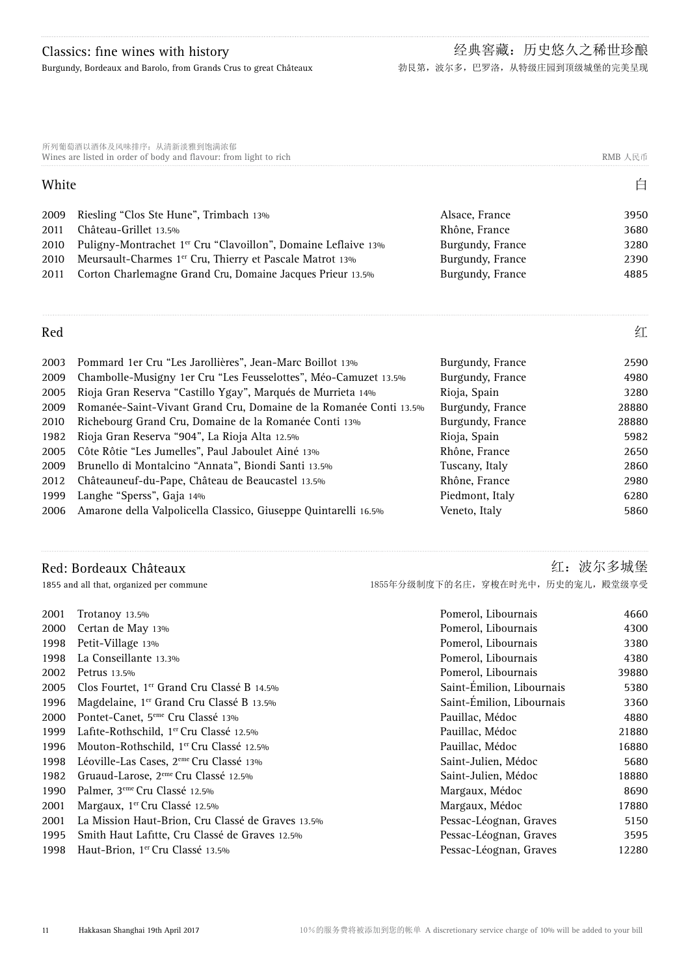Burgundy, Bordeaux and Barolo, from Grands Crus to great Châteaux

|       | 所列葡萄酒以酒体及风味排序: 从清新淡雅到饱满浓郁<br>Wines are listed in order of body and flavour: from light to rich |                  | RMB 人民币 |
|-------|------------------------------------------------------------------------------------------------|------------------|---------|
| White |                                                                                                |                  | 白       |
| 2009  | Riesling "Clos Ste Hune", Trimbach 13%                                                         | Alsace, France   | 3950    |
| 2011  | Château-Grillet 13.5%                                                                          | Rhône, France    | 3680    |
| 2010  | Puligny-Montrachet 1er Cru "Clavoillon", Domaine Leflaive 13%                                  | Burgundy, France | 3280    |
| 2010  | Meursault-Charmes 1er Cru, Thierry et Pascale Matrot 13%                                       | Burgundy, France | 2390    |
| 2011  | Corton Charlemagne Grand Cru, Domaine Jacques Prieur 13.5%                                     | Burgundy, France | 4885    |

#### Red いっしょう しょうかん こうしょう しょうしゅん こうしょう にんしゅう にんしゅう しょうしょう にんしゅう にんしゅう はんしゅう はんしゅう はんしょう はんしゅう はんしゅう はんしょう

| 2003 | Pommard 1er Cru "Les Jarollières", Jean-Marc Boillot 13%             | Burgundy, France | 2590  |
|------|----------------------------------------------------------------------|------------------|-------|
| 2009 | Chambolle-Musigny 1er Cru "Les Feusselottes", Méo-Camuzet 13.5%      | Burgundy, France | 4980  |
| 2005 | Rioja Gran Reserva "Castillo Ygay", Marqués de Murrieta 14%          | Rioja, Spain     | 3280  |
| 2009 | Romanée-Saint-Vivant Grand Cru, Domaine de la Romanée Conti 13.5%    | Burgundy, France | 28880 |
| 2010 | Richebourg Grand Cru, Domaine de la Romanée Conti 13%                | Burgundy, France | 28880 |
| 1982 | Rioja Gran Reserva "904", La Rioja Alta 12.5%                        | Rioja, Spain     | 5982  |
| 2005 | Côte Rôtie "Les Jumelles", Paul Jaboulet Ainé 13%                    | Rhône, France    | 2650  |
| 2009 | Brunello di Montalcino "Annata", Biondi Santi 13.5%                  | Tuscany, Italy   | 2860  |
|      | 2012 Châteauneuf-du-Pape, Château de Beaucastel 13.5%                | Rhône, France    | 2980  |
| 1999 | Langhe "Sperss", Gaja 14%                                            | Piedmont, Italy  | 6280  |
|      | 2006 Amarone della Valpolicella Classico, Giuseppe Quintarelli 16.5% | Veneto, Italy    | 5860  |

#### Red: Bordeaux Châteaux

1855 and all that, organized per commune

红:波尔多城堡

1855年分级制度下的名庄,穿梭在时光中,历史的宠儿,殿堂级享受

| 2001 | Trotanoy 13.5%                                         | Pomerol, Libournais       | 4660  |
|------|--------------------------------------------------------|---------------------------|-------|
| 2000 | Certan de May 13%                                      | Pomerol, Libournais       | 4300  |
| 1998 | Petit-Village 13%                                      | Pomerol, Libournais       | 3380  |
| 1998 | La Conseillante 13.3%                                  | Pomerol, Libournais       | 4380  |
| 2002 | Petrus 13.5%                                           | Pomerol, Libournais       | 39880 |
| 2005 | Clos Fourtet, 1 <sup>er</sup> Grand Cru Classé B 14.5% | Saint-Émilion, Libournais | 5380  |
| 1996 | Magdelaine, 1 <sup>er</sup> Grand Cru Classé B 13.5%   | Saint-Émilion, Libournais | 3360  |
| 2000 | Pontet-Canet, 5 <sup>eme</sup> Cru Classé 13%          | Pauillac, Médoc           | 4880  |
| 1999 | Lafite-Rothschild, 1 <sup>er</sup> Cru Classé 12.5%    | Pauillac, Médoc           | 21880 |
| 1996 | Mouton-Rothschild, 1er Cru Classé 12.5%                | Pauillac, Médoc           | 16880 |
| 1998 | Léoville-Las Cases, 2 <sup>eme</sup> Cru Classé 13%    | Saint-Julien, Médoc       | 5680  |
| 1982 | Gruaud-Larose, 2 <sup>eme</sup> Cru Classé 12.5%       | Saint-Julien, Médoc       | 18880 |
| 1990 | Palmer, 3 <sup>eme</sup> Cru Classé 12.5%              | Margaux, Médoc            | 8690  |
| 2001 | Margaux, 1 <sup>er</sup> Cru Classé 12.5%              | Margaux, Médoc            | 17880 |
| 2001 | La Mission Haut-Brion, Cru Classé de Graves 13.5%      | Pessac-Léognan, Graves    | 5150  |
| 1995 | Smith Haut Lafitte, Cru Classé de Graves 12.5%         | Pessac-Léognan, Graves    | 3595  |
| 1998 | Haut-Brion, 1er Cru Classé 13.5%                       | Pessac-Léognan, Graves    | 12280 |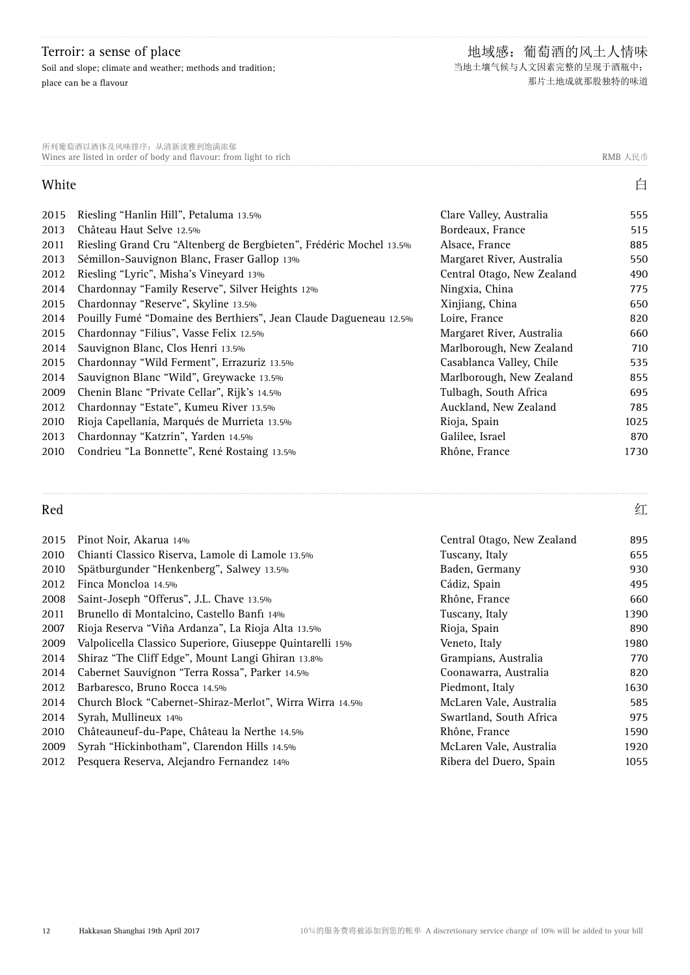# Terroir: a sense of place

Soil and slope; climate and weather; methods and tradition; place can be a flavour

| 所列葡萄酒以酒体及风味排序: 从清新淡雅到饱满浓郁                                         |         |
|-------------------------------------------------------------------|---------|
| Wines are listed in order of body and flavour: from light to rich | RMB 人民币 |

#### White **contract of the contract of the contract of the contract of the contract of the contract of the contract**

| 2015 | Riesling "Hanlin Hill", Petaluma 13.5%                              | Clare Valley, Australia    | 555  |
|------|---------------------------------------------------------------------|----------------------------|------|
| 2013 | Château Haut Selve 12.5%                                            | Bordeaux, France           | 515  |
| 2011 | Riesling Grand Cru "Altenberg de Bergbieten", Frédéric Mochel 13.5% | Alsace, France             | 885  |
| 2013 | Sémillon-Sauvignon Blanc, Fraser Gallop 13%                         | Margaret River, Australia  | 550  |
| 2012 | Riesling "Lyric", Misha's Vineyard 13%                              | Central Otago, New Zealand | 490  |
| 2014 | Chardonnay "Family Reserve", Silver Heights 12%                     | Ningxia, China             | 775  |
| 2015 | Chardonnay "Reserve", Skyline 13.5%                                 | Xinjiang, China            | 650  |
| 2014 | Pouilly Fumé "Domaine des Berthiers", Jean Claude Dagueneau 12.5%   | Loire, France              | 820  |
| 2015 | Chardonnay "Filius", Vasse Felix 12.5%                              | Margaret River, Australia  | 660  |
| 2014 | Sauvignon Blanc, Clos Henri 13.5%                                   | Marlborough, New Zealand   | 710  |
| 2015 | Chardonnay "Wild Ferment", Errazuriz 13.5%                          | Casablanca Valley, Chile   | 535  |
| 2014 | Sauvignon Blanc "Wild", Greywacke 13.5%                             | Marlborough, New Zealand   | 855  |
| 2009 | Chenin Blanc "Private Cellar", Rijk's 14.5%                         | Tulbagh, South Africa      | 695  |
| 2012 | Chardonnay "Estate", Kumeu River 13.5%                              | Auckland, New Zealand      | 785  |
| 2010 | Rioja Capellanía, Marqués de Murrieta 13.5%                         | Rioja, Spain               | 1025 |
| 2013 | Chardonnay "Katzrin", Yarden 14.5%                                  | Galilee, Israel            | 870  |
| 2010 | Condrieu "La Bonnette", René Rostaing 13.5%                         | Rhône, France              | 1730 |

## Red いっしゃ しょうかん こうしょう しょうしゅん こうしゅう こうしょう にほんしゅう しょうしゅう しょうしょう にほんしゅう はんしゅう はんしゅう はんしゅう はんしゅう はんしゅう はんしゅう はんしゅう

| 2015 | Pinot Noir, Akarua 14%                                    | Central Otago, New Zealand | 895  |
|------|-----------------------------------------------------------|----------------------------|------|
| 2010 | Chianti Classico Riserva, Lamole di Lamole 13.5%          | Tuscany, Italy             | 655  |
| 2010 | Spätburgunder "Henkenberg", Salwey 13.5%                  | Baden, Germany             | 930  |
| 2012 | Finca Moncloa 14.5%                                       | Cádiz, Spain               | 495  |
| 2008 | Saint-Joseph "Offerus", J.L. Chave 13.5%                  | Rhône, France              | 660  |
| 2011 | Brunello di Montalcino, Castello Banfi 14%                | Tuscany, Italy             | 1390 |
| 2007 | Rioja Reserva "Viña Ardanza", La Rioja Alta 13.5%         | Rioja, Spain               | 890  |
| 2009 | Valpolicella Classico Superiore, Giuseppe Quintarelli 15% | Veneto, Italy              | 1980 |
| 2014 | Shiraz "The Cliff Edge", Mount Langi Ghiran 13.8%         | Grampians, Australia       | 770  |
| 2014 | Cabernet Sauvignon "Terra Rossa", Parker 14.5%            | Coonawarra, Australia      | 820  |
| 2012 | Barbaresco, Bruno Rocca 14.5%                             | Piedmont, Italy            | 1630 |
| 2014 | Church Block "Cabernet-Shiraz-Merlot", Wirra Wirra 14.5%  | McLaren Vale, Australia    | 585  |
| 2014 | Syrah, Mullineux 14%                                      | Swartland, South Africa    | 975  |
| 2010 | Châteauneuf-du-Pape, Château la Nerthe 14.5%              | Rhône, France              | 1590 |
| 2009 | Syrah "Hickinbotham", Clarendon Hills 14.5%               | McLaren Vale, Australia    | 1920 |
| 2012 | Pesquera Reserva, Alejandro Fernandez 14%                 | Ribera del Duero, Spain    | 1055 |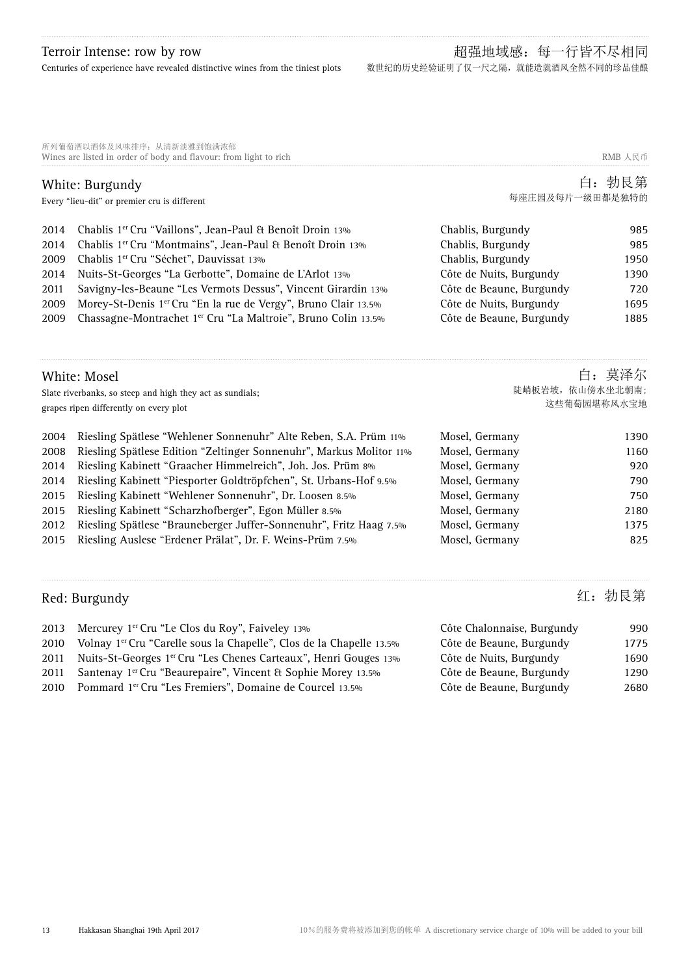Centuries of experience have revealed distinctive wines from the tiniest plots

|      | 所列葡萄酒以酒体及风味排序: 从清新淡雅到饱满浓郁<br>Wines are listed in order of body and flavour: from light to rich |                          | RMB 人民币     |
|------|------------------------------------------------------------------------------------------------|--------------------------|-------------|
|      | White: Burgundy<br>Every "lieu-dit" or premier cru is different                                | 每座庄园及每片一级田都是独特的          | 白: 勃艮第      |
| 2014 | Chablis 1er Cru "Vaillons", Jean-Paul & Benoît Droin 13%                                       | Chablis, Burgundy        | 985         |
| 2014 | Chablis 1 <sup>er</sup> Cru "Montmains", Jean-Paul & Benoît Droin 13%                          | Chablis, Burgundy        | 985         |
| 2009 | Chablis 1er Cru "Séchet", Dauvissat 13%                                                        | Chablis, Burgundy        | 1950        |
| 2014 | Nuits-St-Georges "La Gerbotte", Domaine de L'Arlot 13%                                         | Côte de Nuits, Burgundy  | 1390        |
| 2011 | Savigny-les-Beaune "Les Vermots Dessus", Vincent Girardin 13%                                  | Côte de Beaune, Burgundy | 720         |
| 2009 | Morey-St-Denis 1er Cru "En la rue de Vergy", Bruno Clair 13.5%                                 | Côte de Nuits, Burgundy  | 1695        |
| 2009 | Chassagne-Montrachet 1er Cru "La Maltroie", Bruno Colin 13.5%                                  | Côte de Beaune, Burgundy | 1885        |
|      | White: Mosel                                                                                   |                          | 白: 莫泽尔      |
|      | Slate riverbanks, so steep and high they act as sundials;                                      | 陡峭板岩坡, 依山傍水坐北朝南;         |             |
|      | grapes ripen differently on every plot                                                         |                          | 这些葡萄园堪称风水宝地 |
| 2004 | Riesling Spätlese "Wehlener Sonnenuhr" Alte Reben, S.A. Prüm 11%                               | Mosel, Germany           | 1390        |
| 2008 | Riesling Spätlese Edition "Zeltinger Sonnenuhr", Markus Molitor 11%                            | Mosel, Germany           | 1160        |
| 2014 | Riesling Kabinett "Graacher Himmelreich", Joh. Jos. Prüm 8%                                    | Mosel, Germany           | 920         |
| 2014 | Riesling Kabinett "Piesporter Goldtröpfchen", St. Urbans-Hof 9.5%                              | Mosel, Germany           | 790         |
| 2015 | Riesling Kabinett "Wehlener Sonnenuhr", Dr. Loosen 8.5%                                        | Mosel, Germany           | 750         |
| 2015 | Riesling Kabinett "Scharzhofberger", Egon Müller 8.5%                                          | Mosel, Germany           | 2180        |
| 2012 | Riesling Spätlese "Brauneberger Juffer-Sonnenuhr", Fritz Haag 7.5%                             | Mosel, Germany           | 1375        |
| 2015 | Riesling Auslese "Erdener Prälat", Dr. F. Weins-Prüm 7.5%                                      | Mosel, Germany           | 825         |

|  | Red: Burgundy |
|--|---------------|
|--|---------------|

红:勃艮第

| 2013 Mercurey 1 <sup>er</sup> Cru "Le Clos du Roy", Faiveley 13%                      | Côte Chalonnaise, Burgundy | 990  |
|---------------------------------------------------------------------------------------|----------------------------|------|
| 2010 Volnay 1 <sup>er</sup> Cru "Carelle sous la Chapelle", Clos de la Chapelle 13.5% | Côte de Beaune, Burgundy   | 1775 |
| 2011 Nuits-St-Georges 1er Cru "Les Chenes Carteaux", Henri Gouges 13%                 | Côte de Nuits, Burgundy    | 1690 |
| 2011 Santenay 1er Cru "Beaurepaire", Vincent & Sophie Morey 13.5%                     | Côte de Beaune, Burgundy   | 1290 |
| 2010 Pommard 1 <sup>er</sup> Cru "Les Fremiers", Domaine de Courcel 13.5%             | Côte de Beaune, Burgundy   | 2680 |
|                                                                                       |                            |      |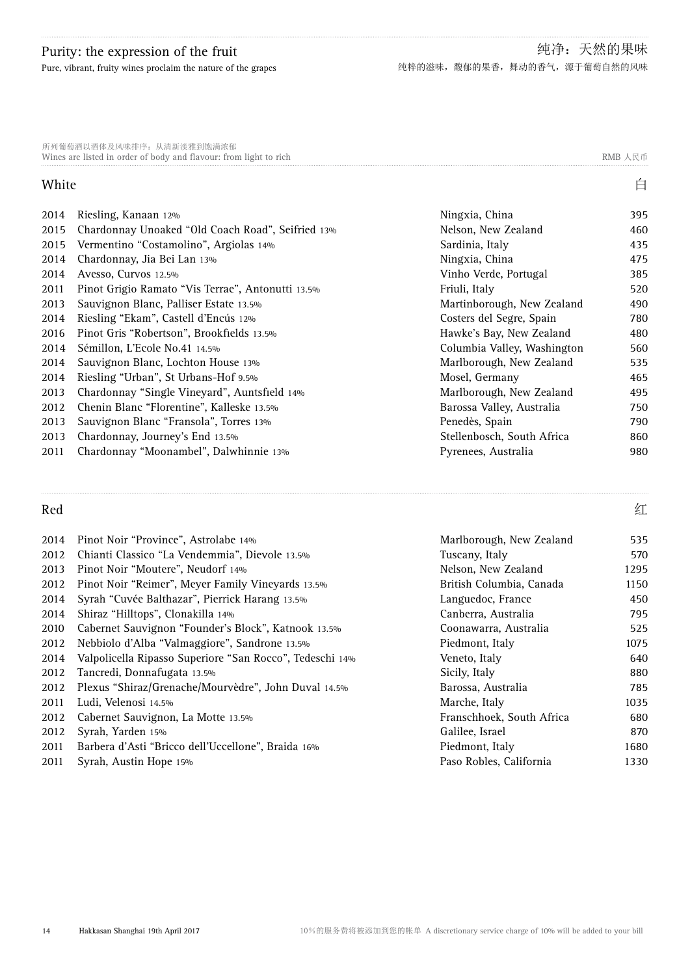Pure, vibrant, fruity wines proclaim the nature of the grapes

Wines are listed in order of body and flavour: from light to rich RMB Q RMB Q RMB 人民币 所列葡萄酒以酒体及风味排序:从清新淡雅到饱满浓郁

## White **contract of the contract of the contract of the contract of the contract of the contract of the contract**

| 2014 | Riesling, Kanaan 12%                              | Ningxia, China              | 395 |
|------|---------------------------------------------------|-----------------------------|-----|
| 2015 | Chardonnay Unoaked "Old Coach Road", Seifried 13% | Nelson, New Zealand         | 460 |
| 2015 | Vermentino "Costamolino", Argiolas 14%            | Sardinia, Italy             | 435 |
| 2014 | Chardonnay, Jia Bei Lan 13%                       | Ningxia, China              | 475 |
| 2014 | Avesso, Curvos 12.5%                              | Vinho Verde, Portugal       | 385 |
| 2011 | Pinot Grigio Ramato "Vis Terrae", Antonutti 13.5% | Friuli, Italy               | 520 |
| 2013 | Sauvignon Blanc, Palliser Estate 13.5%            | Martinborough, New Zealand  | 490 |
| 2014 | Riesling "Ekam", Castell d'Encús 12%              | Costers del Segre, Spain    | 780 |
| 2016 | Pinot Gris "Robertson", Brookfields 13.5%         | Hawke's Bay, New Zealand    | 480 |
| 2014 | Sémillon, L'Ecole No.41 14.5%                     | Columbia Valley, Washington | 560 |
| 2014 | Sauvignon Blanc, Lochton House 13%                | Marlborough, New Zealand    | 535 |
| 2014 | Riesling "Urban", St Urbans-Hof 9.5%              | Mosel, Germany              | 465 |
| 2013 | Chardonnay "Single Vineyard", Auntsfield 14%      | Marlborough, New Zealand    | 495 |
| 2012 | Chenin Blanc "Florentine", Kalleske 13.5%         | Barossa Valley, Australia   | 750 |
| 2013 | Sauvignon Blanc "Fransola", Torres 13%            | Penedès, Spain              | 790 |
| 2013 | Chardonnay, Journey's End 13.5%                   | Stellenbosch, South Africa  | 860 |
| 2011 | Chardonnay "Moonambel", Dalwhinnie 13%            | Pyrenees, Australia         | 980 |
|      |                                                   |                             |     |

### Red いっしょう しょうかん こうしょう しょうしゅん こうしょう にほんしゅう しょうしゅう しょうしゅう はんしょう にほんしゅう はんしゅう はんしょう はんしょう はんしょう はんしょう はんしょう はんしょう

| 2014 | Pinot Noir "Province", Astrolabe 14%                     | Marlborough, New Zealand  | 535  |
|------|----------------------------------------------------------|---------------------------|------|
| 2012 | Chianti Classico "La Vendemmia", Dievole 13.5%           | Tuscany, Italy            | 570  |
| 2013 | Pinot Noir "Moutere", Neudorf 14%                        | Nelson, New Zealand       | 1295 |
| 2012 | Pinot Noir "Reimer", Meyer Family Vineyards 13.5%        | British Columbia, Canada  | 1150 |
| 2014 | Syrah "Cuvée Balthazar", Pierrick Harang 13.5%           | Languedoc, France         | 450  |
| 2014 | Shiraz "Hilltops", Clonakilla 14%                        | Canberra, Australia       | 795  |
| 2010 | Cabernet Sauvignon "Founder's Block", Katnook 13.5%      | Coonawarra, Australia     | 525  |
| 2012 | Nebbiolo d'Alba "Valmaggiore", Sandrone 13.5%            | Piedmont, Italy           | 1075 |
| 2014 | Valpolicella Ripasso Superiore "San Rocco", Tedeschi 14% | Veneto, Italy             | 640  |
| 2012 | Tancredi, Donnafugata 13.5%                              | Sicily, Italy             | 880  |
| 2012 | Plexus "Shiraz/Grenache/Mourvèdre", John Duval 14.5%     | Barossa, Australia        | 785  |
| 2011 | Ludi, Velenosi 14.5%                                     | Marche, Italy             | 1035 |
| 2012 | Cabernet Sauvignon, La Motte 13.5%                       | Franschhoek, South Africa | 680  |
| 2012 | Syrah, Yarden 15%                                        | Galilee, Israel           | 870  |
| 2011 | Barbera d'Asti "Bricco dell'Uccellone", Braida 16%       | Piedmont, Italy           | 1680 |
| 2011 | Syrah, Austin Hope 15%                                   | Paso Robles, California   | 1330 |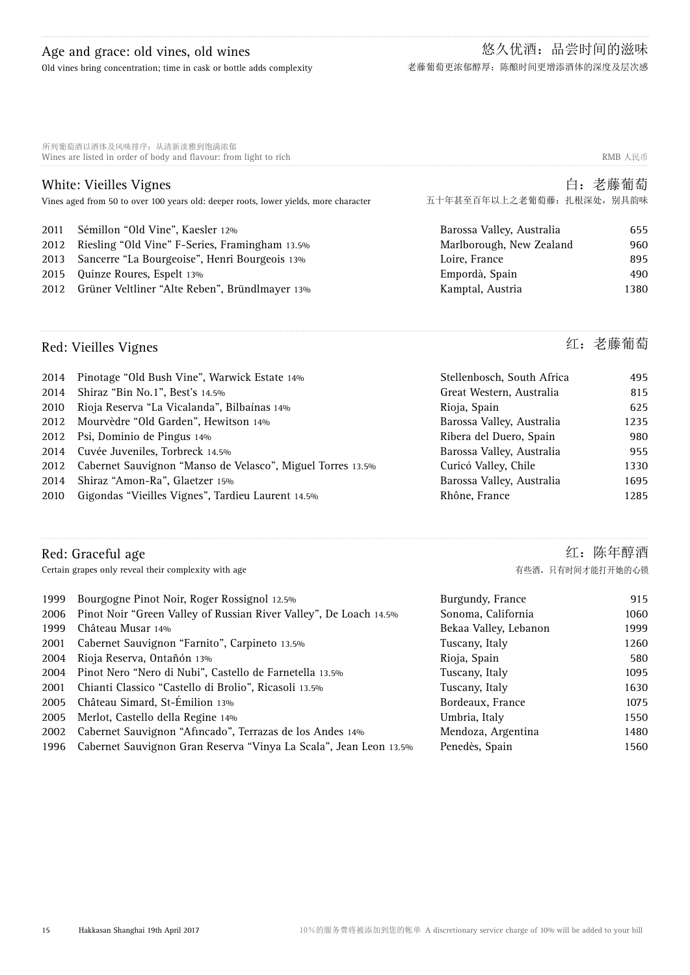Wines are listed in order of body and flavour: from light to rich RMB Q RMB Q RMB 人民币 所列葡萄酒以酒体及风味排序:从清新淡雅到饱满浓郁

|                                                                                      | White: Vieilles Vignes                              |                            | 白: 老藤葡萄 |
|--------------------------------------------------------------------------------------|-----------------------------------------------------|----------------------------|---------|
| Vines aged from 50 to over 100 years old: deeper roots, lower yields, more character |                                                     | 五十年甚至百年以上之老葡萄藤: 扎根深处, 别具韵味 |         |
| 2011                                                                                 | Sémillon "Old Vine", Kaesler 12%                    | Barossa Valley, Australia  | 655     |
| 2012                                                                                 | Riesling "Old Vine" F-Series, Framingham 13.5%      | Marlborough, New Zealand   | 960     |
| 2013                                                                                 | Sancerre "La Bourgeoise", Henri Bourgeois 13%       | Loire, France              | 895     |
| 2015                                                                                 | Quinze Roures, Espelt 13%                           | Empordà, Spain             | 490     |
|                                                                                      | 2012 Grüner Veltliner "Alte Reben", Bründlmayer 13% | Kamptal, Austria           | 1380    |

#### Red: Vieilles Vignes

红:老藤葡萄

|      | 2014 Pinotage "Old Bush Vine", Warwick Estate 14%               | Stellenbosch, South Africa | 495  |
|------|-----------------------------------------------------------------|----------------------------|------|
| 2014 | Shiraz "Bin No.1", Best's 14.5%                                 | Great Western, Australia   | 815  |
| 2010 | Rioja Reserva "La Vicalanda", Bilbaínas 14%                     | Rioja, Spain               | 625  |
|      | 2012 Mourvèdre "Old Garden", Hewitson 14%                       | Barossa Valley, Australia  | 1235 |
|      | 2012 Psi, Dominio de Pingus 14%                                 | Ribera del Duero, Spain    | 980  |
|      | 2014 Cuvée Juveniles, Torbreck 14.5%                            | Barossa Valley, Australia  | 955  |
|      | 2012 Cabernet Sauvignon "Manso de Velasco", Miguel Torres 13.5% | Curicó Valley, Chile       | 1330 |
| 2014 | Shiraz "Amon-Ra", Glaetzer 15%                                  | Barossa Valley, Australia  | 1695 |
| 2010 | Gigondas "Vieilles Vignes", Tardieu Laurent 14.5%               | Rhône, France              | 1285 |
|      |                                                                 |                            |      |

#### Red: Graceful age

Certain grapes only reveal their complexity with age

红:陈年醇酒 有些酒,只有时间才能打开她的心锁

| 1999 | Bourgogne Pinot Noir, Roger Rossignol 12.5%                            | Burgundy, France      | 915  |
|------|------------------------------------------------------------------------|-----------------------|------|
|      | 2006 Pinot Noir "Green Valley of Russian River Valley", De Loach 14.5% | Sonoma, California    | 1060 |
| 1999 | Château Musar 14%                                                      | Bekaa Valley, Lebanon | 1999 |
| 2001 | Cabernet Sauvignon "Farnito", Carpineto 13.5%                          | Tuscany, Italy        | 1260 |
| 2004 | Rioja Reserva, Ontañón 13%                                             | Rioja, Spain          | 580  |
|      | 2004 Pinot Nero "Nero di Nubi", Castello de Farnetella 13.5%           | Tuscany, Italy        | 1095 |
| 2001 | Chianti Classico "Castello di Brolio", Ricasoli 13.5%                  | Tuscany, Italy        | 1630 |
|      | 2005 Château Simard, St-Emilion 13%                                    | Bordeaux, France      | 1075 |
| 2005 | Merlot, Castello della Regine 14%                                      | Umbria, Italy         | 1550 |
|      | 2002 Cabernet Sauvignon "Afincado", Terrazas de los Andes 14%          | Mendoza, Argentina    | 1480 |
|      | 1996 Cabernet Sauvignon Gran Reserva "Vinya La Scala", Jean Leon 13.5% | Penedès, Spain        | 1560 |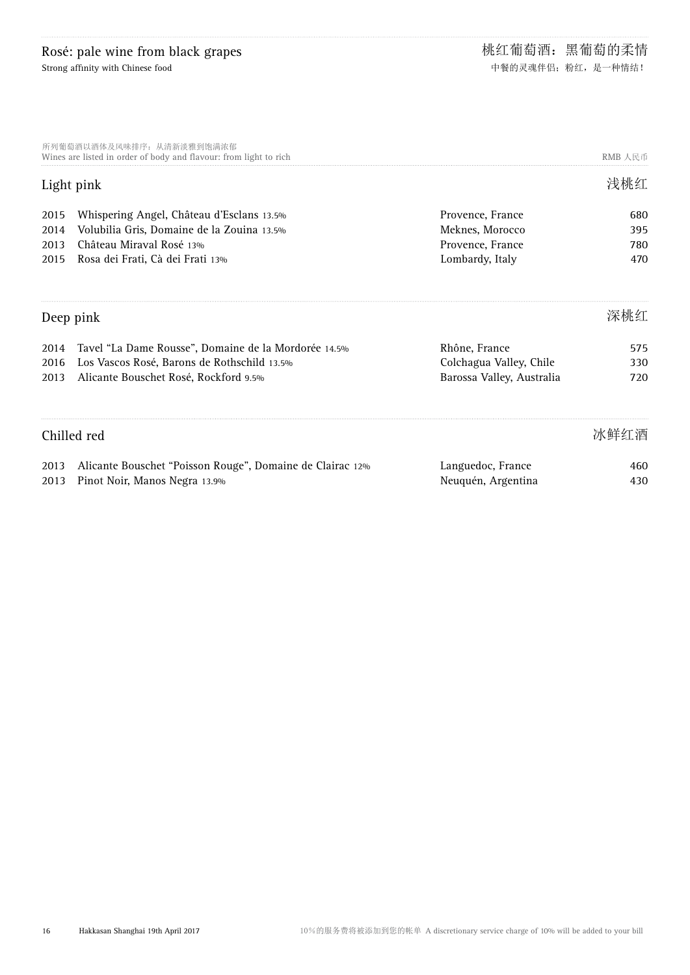| 所列葡萄酒以酒体及风味排序: 从清新淡雅到饱满浓郁<br>Wines are listed in order of body and flavour: from light to rich |                                                           |                           |      |
|------------------------------------------------------------------------------------------------|-----------------------------------------------------------|---------------------------|------|
| Light pink                                                                                     |                                                           |                           | 浅桃红  |
| 2015                                                                                           | Whispering Angel, Château d'Esclans 13.5%                 | Provence, France          | 680  |
| 2014                                                                                           | Volubilia Gris, Domaine de la Zouina 13.5%                | Meknes, Morocco           | 395  |
| 2013                                                                                           | Château Miraval Rosé 13%                                  | Provence, France          | 780  |
| 2015                                                                                           | Rosa dei Frati, Cà dei Frati 13%                          | Lombardy, Italy           | 470  |
| Deep pink                                                                                      |                                                           |                           | 深桃红  |
| 2014                                                                                           | Tavel "La Dame Rousse", Domaine de la Mordorée 14.5%      | Rhône, France             | 575  |
| 2016                                                                                           | Los Vascos Rosé, Barons de Rothschild 13.5%               | Colchagua Valley, Chile   | 330  |
| 2013                                                                                           | Alicante Bouschet Rosé, Rockford 9.5%                     | Barossa Valley, Australia | 720  |
|                                                                                                | Chilled red                                               |                           | 冰鲜红酒 |
| 2013                                                                                           | Alicante Bouschet "Poisson Rouge", Domaine de Clairac 12% | Languedoc, France         | 460  |

2013 Pinot Noir, Manos Negra 13.9% Camera Controller and Meuquén, Argentina 430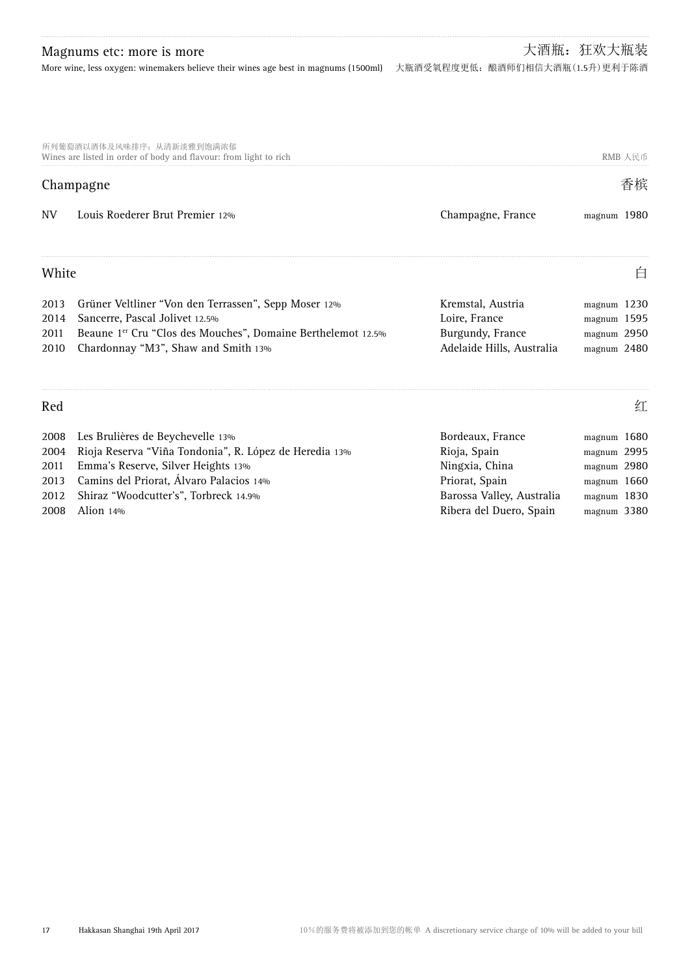More wine, less oxygen: winemakers believe their wines age best in magnums (1500ml) 大瓶酒受氧程度更低:酿酒师们相信大酒瓶(1.5升)更利于陈酒

| 所列葡萄酒以酒体及风味排序: 从清新淡雅到饱满浓郁<br>Wines are listed in order of body and flavour: from light to rich |                                                                                                                                                                                                                      |                                                                                                   |                                                                           |  |
|------------------------------------------------------------------------------------------------|----------------------------------------------------------------------------------------------------------------------------------------------------------------------------------------------------------------------|---------------------------------------------------------------------------------------------------|---------------------------------------------------------------------------|--|
|                                                                                                | Champagne                                                                                                                                                                                                            |                                                                                                   | 香槟                                                                        |  |
| NV                                                                                             | Louis Roederer Brut Premier 12%                                                                                                                                                                                      | Champagne, France                                                                                 | magnum 1980                                                               |  |
| White                                                                                          |                                                                                                                                                                                                                      |                                                                                                   | ⊟                                                                         |  |
| 2013<br>2014<br>2011<br>2010                                                                   | Grüner Veltliner "Von den Terrassen", Sepp Moser 12%<br>Sancerre, Pascal Jolivet 12.5%<br>Beaune 1 <sup>er</sup> Cru "Clos des Mouches", Domaine Berthelemot 12.5%<br>Chardonnay "M3", Shaw and Smith 13%            | Kremstal, Austria<br>Loire, France<br>Burgundy, France<br>Adelaide Hills, Australia               | magnum $1230$<br>magnum 1595<br>magnum 2950<br>magnum 2480                |  |
| Red                                                                                            |                                                                                                                                                                                                                      |                                                                                                   | 红                                                                         |  |
| 2008<br>2004<br>2011<br>2013<br>2012                                                           | Les Brulières de Beychevelle 13%<br>Rioja Reserva "Viña Tondonia", R. López de Heredia 13%<br>Emma's Reserve, Silver Heights 13%<br>Camins del Priorat, Álvaro Palacios 14%<br>Shiraz "Woodcutter's", Torbreck 14.9% | Bordeaux, France<br>Rioja, Spain<br>Ningxia, China<br>Priorat, Spain<br>Barossa Valley, Australia | magnum 1680<br>magnum 2995<br>magnum 2980<br>magnum $1660$<br>magnum 1830 |  |

2008 Alion 14% Ribera del Duero, Spain magnum 3380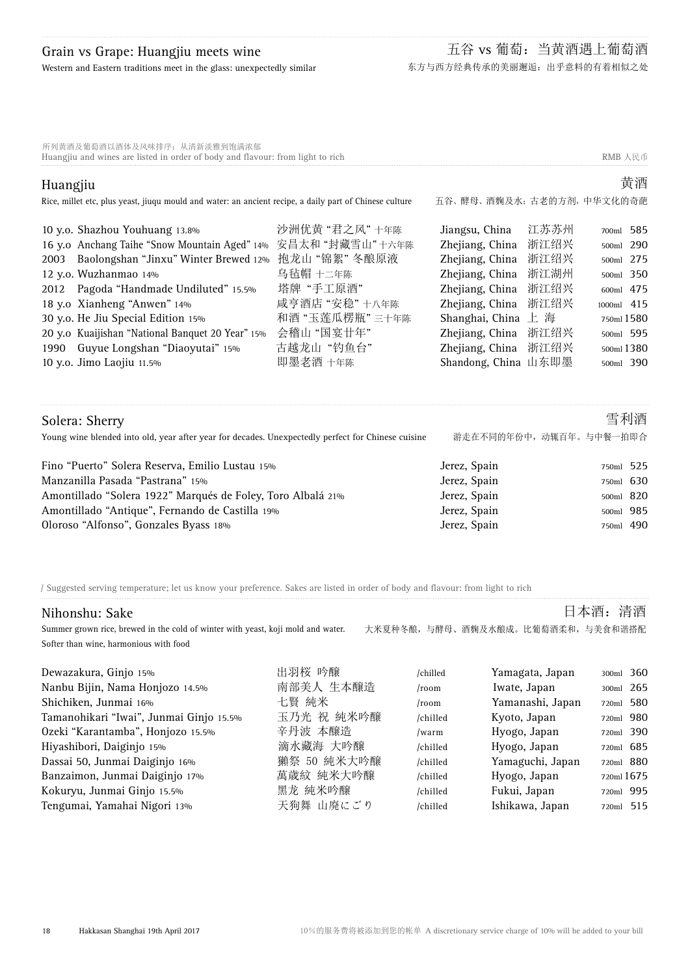Western and Eastern traditions meet in the glass: unexpectedly similar

| 所列黄酒及葡萄酒以酒体及风味排序: 从清新淡雅到饱满浓郁<br>Huangjiu and wines are listed in order of body and flavour: from light to rich<br>RMB 人民币 |                |                            |              |            |
|---------------------------------------------------------------------------------------------------------------------------|----------------|----------------------------|--------------|------------|
| Huangjiu                                                                                                                  |                |                            | 黄酒           |            |
| Rice, millet etc, plus yeast, jiuqu mould and water: an ancient recipe, a daily part of Chinese culture                   |                | 五谷、酵母、酒麴及水: 古老的方剂, 中华文化的奇葩 |              |            |
| 10 y.o. Shazhou Youhuang 13.8%                                                                                            | 沙洲优黄 "君之风" 十年陈 | Jiangsu, China             | 江苏苏州         | 700ml 585  |
| 16 y.o Anchang Taihe "Snow Mountain Aged" 14% 安昌太和 "封藏雪山" 十六年陈                                                            |                | Zhejiang, China            | 浙江绍兴         | 500ml 290  |
| Baolongshan "Jinxu" Winter Brewed 12% 抱龙山 "锦絮"冬酿原液<br>2003                                                                |                | Zhejiang, China 浙江绍兴       |              | 500ml 275  |
| 12 y.o. Wuzhanmao 14%                                                                                                     | 乌毡帽 十二年陈       | Zhejiang, China            | 浙江湖州         | 500ml 350  |
| Pagoda "Handmade Undiluted" 15.5%<br>2012                                                                                 | 塔牌"手工原酒"       | Zhejiang, China            | 浙江绍兴         | 600ml 475  |
| 18 y.o Xianheng "Anwen" 14%                                                                                               | 咸亨酒店"安稳"十八年陈   | Zhejiang, China            | 浙江绍兴         | 1000ml 415 |
| 30 y.o. He Jiu Special Edition 15%                                                                                        | 和酒"玉莲瓜楞瓶"三十年陈  | Shanghai, China 上 海        |              | 750ml 1580 |
| 20 y.o Kuaijishan "National Banquet 20 Year" 15%                                                                          | 会稽山"国宴廿年"      | Zhejiang, China 浙江绍兴       |              | 500ml 595  |
| Guyue Longshan "Diaoyutai" 15%<br>1990                                                                                    | 古越龙山"钓鱼台"      | Zhejiang, China 浙江绍兴       |              | 500ml 1380 |
| 10 y.o. Jimo Laojiu 11.5%                                                                                                 | 即墨老酒 十年陈       | Shandong, China 山东即墨       |              | 500ml 390  |
| Solera: Sherry                                                                                                            |                |                            |              | 雪利酒        |
| Young wine blended into old, year after year for decades. Unexpectedly perfect for Chinese cuisine                        |                | 游走在不同的年份中, 动辄百年。与中餐一拍即合    |              |            |
| Fino "Puerto" Solera Reserva, Emilio Lustau 15%                                                                           |                | Jerez, Spain               |              | 750ml 525  |
| Manzanilla Pasada "Pastrana" 15%                                                                                          | Jerez, Spain   |                            | 630<br>750ml |            |
| Amontillado "Solera 1922" Marqués de Foley, Toro Albalá 21%                                                               | Jerez, Spain   |                            | 500ml 820    |            |
| Amontillado "Antique", Fernando de Castilla 19%                                                                           | Jerez, Spain   |                            | 500ml 985    |            |

Oloroso "Alfonso", Gonzales Byass 18% *Jerez*, Spain Jerez, Spain 750ml 490

/ Suggested serving temperature; let us know your preference. Sakes are listed in order of body and flavour: from light to rich

#### Nihonshu: Sake

#### 日本酒:清酒

Summer grown rice, brewed in the cold of winter with yeast, koji mold and water. 大米夏种冬酿,与酵母、酒麴及水酿成。比葡萄酒柔和,与美食和谐搭配 Softer than wine, harmonious with food

| Dewazakura, Ginjo 15%                   | 出羽桜 吟醸      | /chilled | Yamagata, Japan  | 300ml 360  |
|-----------------------------------------|-------------|----------|------------------|------------|
| Nanbu Bijin, Nama Honjozo 14.5%         | 南部美人 生本醸造   | /room    | Iwate, Japan     | 300ml 265  |
| Shichiken, Junmai 16%                   | 七賢 純米       | /room    | Yamanashi, Japan | 720ml 580  |
| Tamanohikari "Iwai", Junmai Ginjo 15.5% | 玉乃光 祝 純米吟醸  | /chilled | Kyoto, Japan     | 720ml 980  |
| Ozeki "Karantamba", Honjozo 15.5%       | 辛丹波 本醸造     | /warm    | Hyogo, Japan     | 720ml 390  |
| Hiyashibori, Daiginjo 15%               | 滴水藏海 大吟醸    | /chilled | Hyogo, Japan     | 720ml 685  |
| Dassai 50, Junmai Daiginjo 16%          | 獺祭 50 純米大吟醸 | /chilled | Yamaguchi, Japan | 720ml 880  |
| Banzaimon, Junmai Daiginjo 17%          | 萬歲紋 純米大吟醸   | /chilled | Hyogo, Japan     | 720ml 1675 |
| Kokuryu, Junmai Ginjo 15.5%             | 黑龙 純米吟醸     | /chilled | Fukui, Japan     | 720ml 995  |
| Tengumai, Yamahai Nigori 13%            | 天狗舞 山廃にごり   | /chilled | Ishikawa, Japan  | 720ml 515  |
|                                         |             |          |                  |            |